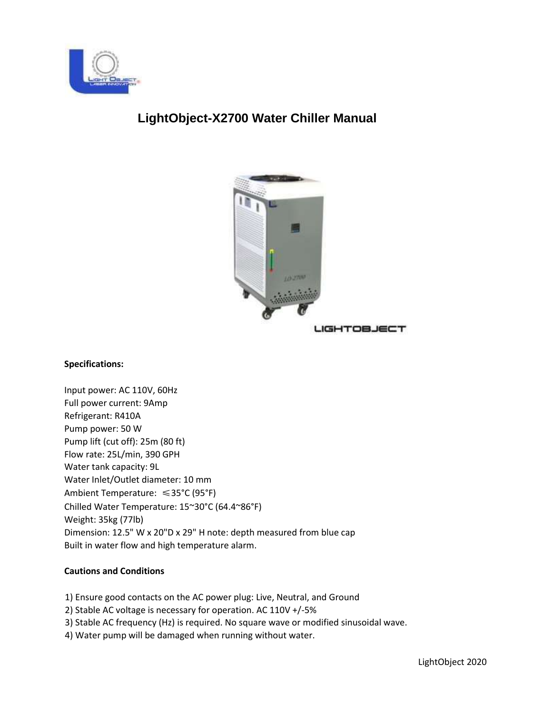

# **LightObject-X2700 Water Chiller Manual**



**LIGHTOBJECT** 

### **Specifications:**

Input power: AC 110V, 60Hz Full power current: 9Amp Refrigerant: R410A Pump power: 50 W Pump lift (cut off): 25m (80 ft) Flow rate: 25L/min, 390 GPH Water tank capacity: 9L Water Inlet/Outlet diameter: 10 mm Ambient Temperature: ≤35°C (95°F) Chilled Water Temperature: 15~30°C (64.4~86°F) Weight: 35kg (77lb) Dimension: 12.5" W x 20"D x 29" H note: depth measured from blue cap Built in water flow and high temperature alarm.

## **Cautions and Conditions**

- 1) Ensure good contacts on the AC power plug: Live, Neutral, and Ground
- 2) Stable AC voltage is necessary for operation. AC 110V +/-5%
- 3) Stable AC frequency (Hz) is required. No square wave or modified sinusoidal wave.
- 4) Water pump will be damaged when running without water.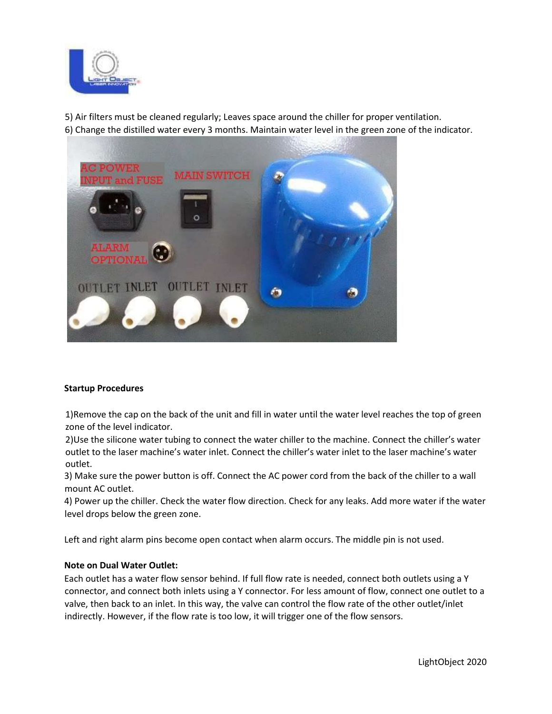

5) Air filters must be cleaned regularly; Leaves space around the chiller for proper ventilation. 6) Change the distilled water every 3 months. Maintain water level in the green zone of the indicator.



### **Startup Procedures**

1)Remove the cap on the back of the unit and fill in water until the water level reaches the top of green zone of the level indicator.

2)Use the silicone water tubing to connect the water chiller to the machine. Connect the chiller's water outlet to the laser machine's water inlet. Connect the chiller's water inlet to the laser machine's water outlet.

3) Make sure the power button is off. Connect the AC power cord from the back of the chiller to a wall mount AC outlet.

4) Power up the chiller. Check the water flow direction. Check for any leaks. Add more water if the water level drops below the green zone.

Left and right alarm pins become open contact when alarm occurs. The middle pin is not used.

#### **Note on Dual Water Outlet:**

Each outlet has a water flow sensor behind. If full flow rate is needed, connect both outlets using a Y connector, and connect both inlets using a Y connector. For less amount of flow, connect one outlet to a valve, then back to an inlet. In this way, the valve can control the flow rate of the other outlet/inlet indirectly. However, if the flow rate is too low, it will trigger one of the flow sensors.